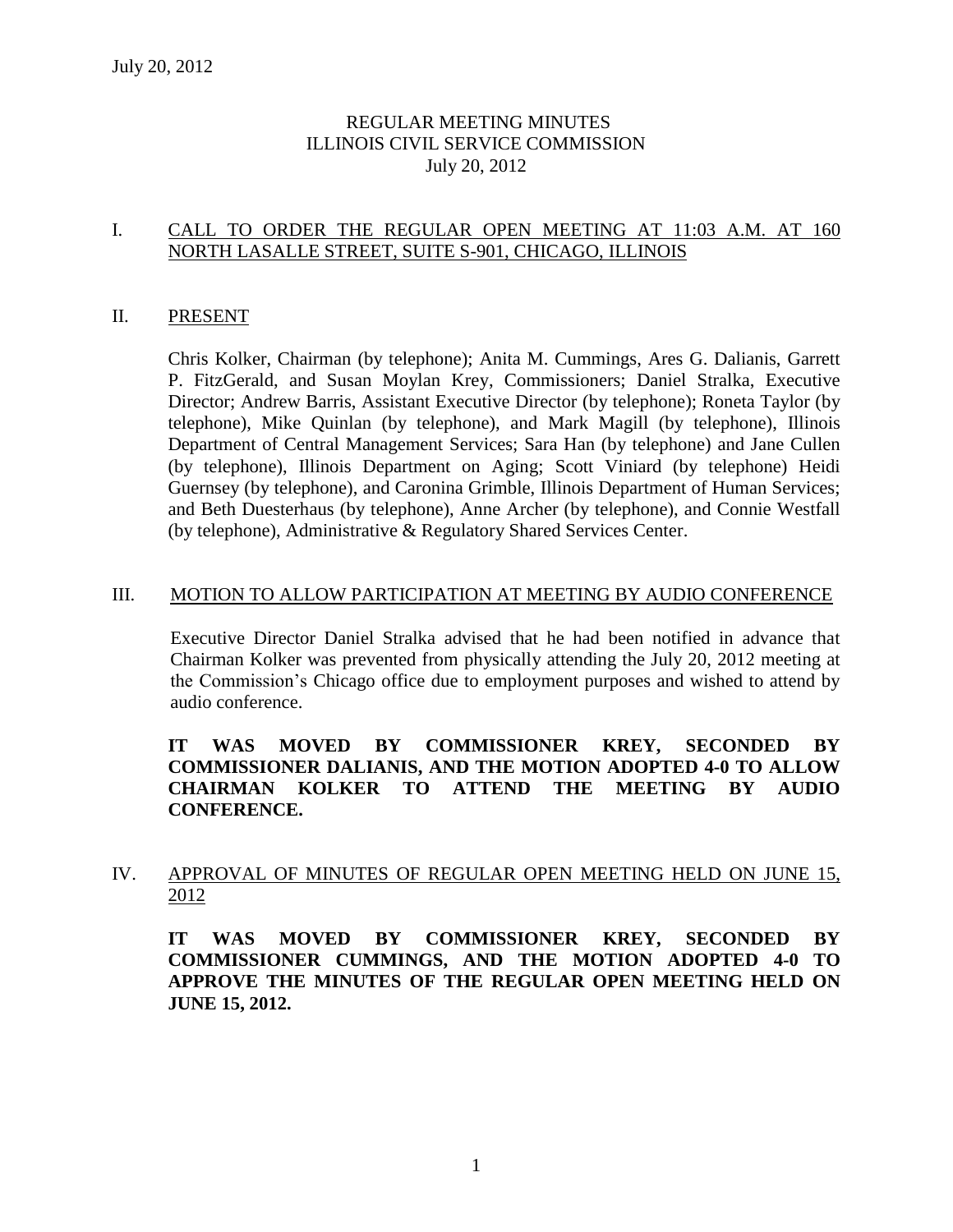# REGULAR MEETING MINUTES ILLINOIS CIVIL SERVICE COMMISSION July 20, 2012

# I. CALL TO ORDER THE REGULAR OPEN MEETING AT 11:03 A.M. AT 160 NORTH LASALLE STREET, SUITE S-901, CHICAGO, ILLINOIS

## II. PRESENT

Chris Kolker, Chairman (by telephone); Anita M. Cummings, Ares G. Dalianis, Garrett P. FitzGerald, and Susan Moylan Krey, Commissioners; Daniel Stralka, Executive Director; Andrew Barris, Assistant Executive Director (by telephone); Roneta Taylor (by telephone), Mike Quinlan (by telephone), and Mark Magill (by telephone), Illinois Department of Central Management Services; Sara Han (by telephone) and Jane Cullen (by telephone), Illinois Department on Aging; Scott Viniard (by telephone) Heidi Guernsey (by telephone), and Caronina Grimble, Illinois Department of Human Services; and Beth Duesterhaus (by telephone), Anne Archer (by telephone), and Connie Westfall (by telephone), Administrative & Regulatory Shared Services Center.

## III. MOTION TO ALLOW PARTICIPATION AT MEETING BY AUDIO CONFERENCE

Executive Director Daniel Stralka advised that he had been notified in advance that Chairman Kolker was prevented from physically attending the July 20, 2012 meeting at the Commission's Chicago office due to employment purposes and wished to attend by audio conference.

# **IT WAS MOVED BY COMMISSIONER KREY, SECONDED BY COMMISSIONER DALIANIS, AND THE MOTION ADOPTED 4-0 TO ALLOW CHAIRMAN KOLKER TO ATTEND THE MEETING BY AUDIO CONFERENCE.**

# IV. APPROVAL OF MINUTES OF REGULAR OPEN MEETING HELD ON JUNE 15, 2012

**IT WAS MOVED BY COMMISSIONER KREY, SECONDED BY COMMISSIONER CUMMINGS, AND THE MOTION ADOPTED 4-0 TO APPROVE THE MINUTES OF THE REGULAR OPEN MEETING HELD ON JUNE 15, 2012.**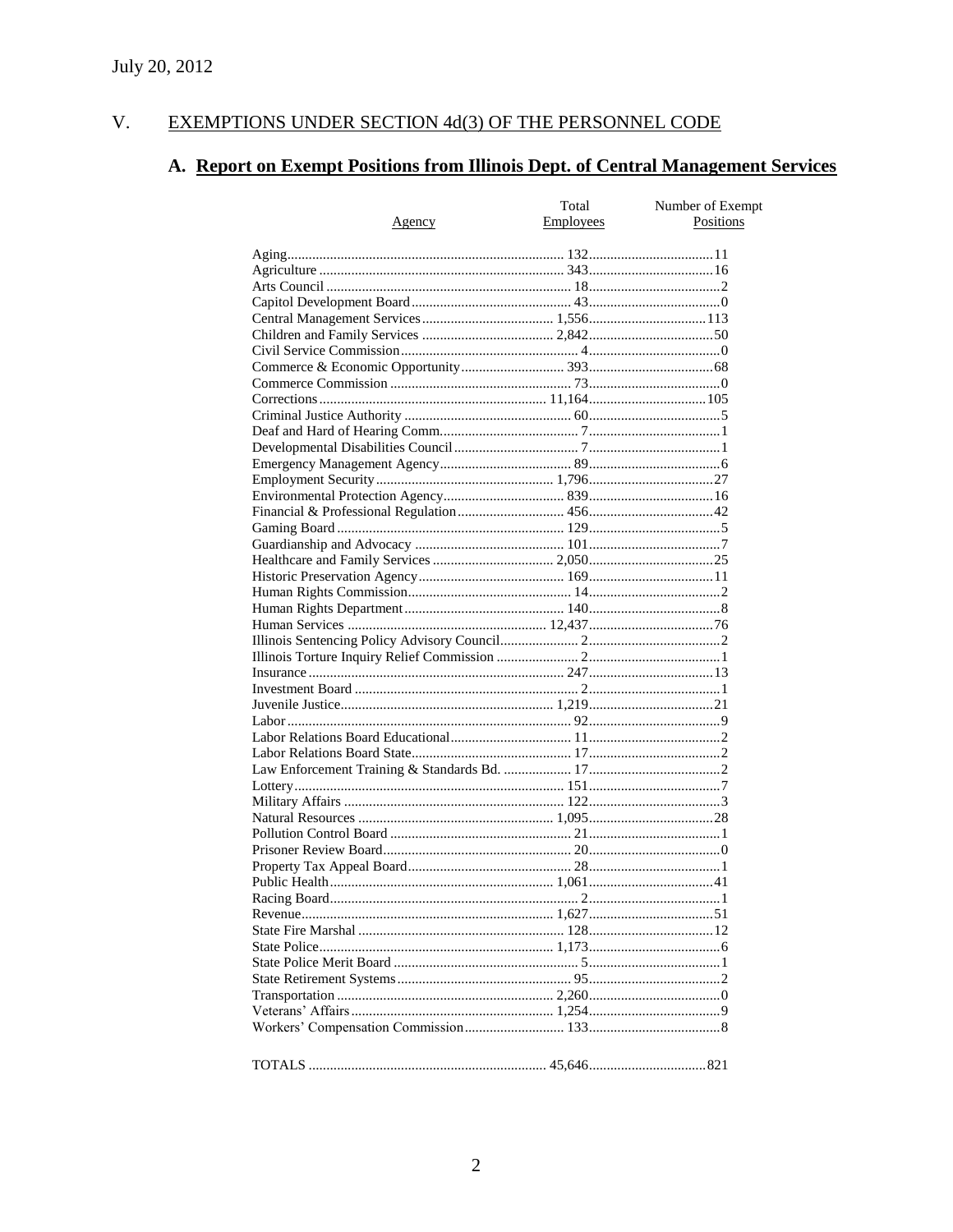#### V. EXEMPTIONS UNDER SECTION 4d(3) OF THE PERSONNEL CODE

# A. Report on Exempt Positions from Illinois Dept. of Central Management Services

|        | Total            | Number of Exempt |
|--------|------------------|------------------|
| Agency | <b>Employees</b> | Positions        |
|        |                  |                  |
|        |                  |                  |
|        |                  |                  |
|        |                  |                  |
|        |                  |                  |
|        |                  |                  |
|        |                  |                  |
|        |                  |                  |
|        |                  |                  |
|        |                  |                  |
|        |                  |                  |
|        |                  |                  |
|        |                  |                  |
|        |                  |                  |
|        |                  |                  |
|        |                  |                  |
|        |                  |                  |
|        |                  |                  |
|        |                  |                  |
|        |                  |                  |
|        |                  |                  |
|        |                  |                  |
|        |                  |                  |
|        |                  |                  |
|        |                  |                  |
|        |                  |                  |
|        |                  |                  |
|        |                  |                  |
|        |                  |                  |
|        |                  |                  |
|        |                  |                  |
|        |                  |                  |
|        |                  |                  |
|        |                  |                  |
|        |                  |                  |
|        |                  |                  |
|        |                  |                  |
|        |                  |                  |
|        |                  |                  |
|        |                  |                  |
|        |                  |                  |
|        |                  |                  |
|        |                  |                  |
|        |                  |                  |
|        |                  |                  |
|        |                  |                  |
|        |                  |                  |
|        |                  |                  |
|        |                  |                  |
|        |                  |                  |
|        |                  |                  |
|        |                  |                  |
|        |                  |                  |
|        |                  |                  |
|        |                  |                  |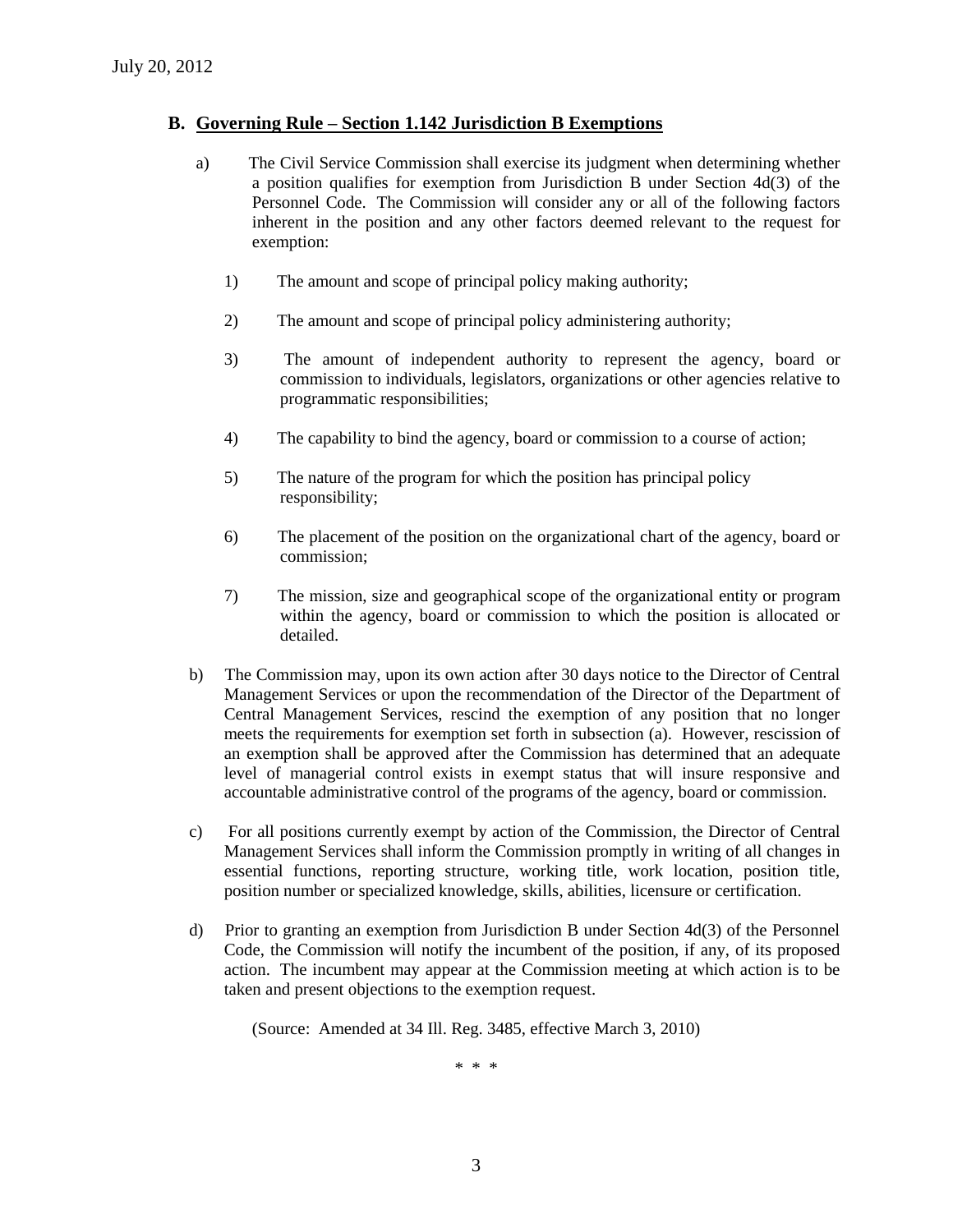### **B. Governing Rule – Section 1.142 Jurisdiction B Exemptions**

- a) The Civil Service Commission shall exercise its judgment when determining whether a position qualifies for exemption from Jurisdiction B under Section 4d(3) of the Personnel Code. The Commission will consider any or all of the following factors inherent in the position and any other factors deemed relevant to the request for exemption:
	- 1) The amount and scope of principal policy making authority;
	- 2) The amount and scope of principal policy administering authority;
	- 3) The amount of independent authority to represent the agency, board or commission to individuals, legislators, organizations or other agencies relative to programmatic responsibilities;
	- 4) The capability to bind the agency, board or commission to a course of action;
	- 5) The nature of the program for which the position has principal policy responsibility;
	- 6) The placement of the position on the organizational chart of the agency, board or commission;
	- 7) The mission, size and geographical scope of the organizational entity or program within the agency, board or commission to which the position is allocated or detailed.
- b) The Commission may, upon its own action after 30 days notice to the Director of Central Management Services or upon the recommendation of the Director of the Department of Central Management Services, rescind the exemption of any position that no longer meets the requirements for exemption set forth in subsection (a). However, rescission of an exemption shall be approved after the Commission has determined that an adequate level of managerial control exists in exempt status that will insure responsive and accountable administrative control of the programs of the agency, board or commission.
- c) For all positions currently exempt by action of the Commission, the Director of Central Management Services shall inform the Commission promptly in writing of all changes in essential functions, reporting structure, working title, work location, position title, position number or specialized knowledge, skills, abilities, licensure or certification.
- d) Prior to granting an exemption from Jurisdiction B under Section 4d(3) of the Personnel Code, the Commission will notify the incumbent of the position, if any, of its proposed action. The incumbent may appear at the Commission meeting at which action is to be taken and present objections to the exemption request.

(Source: Amended at 34 Ill. Reg. 3485, effective March 3, 2010)

\* \* \*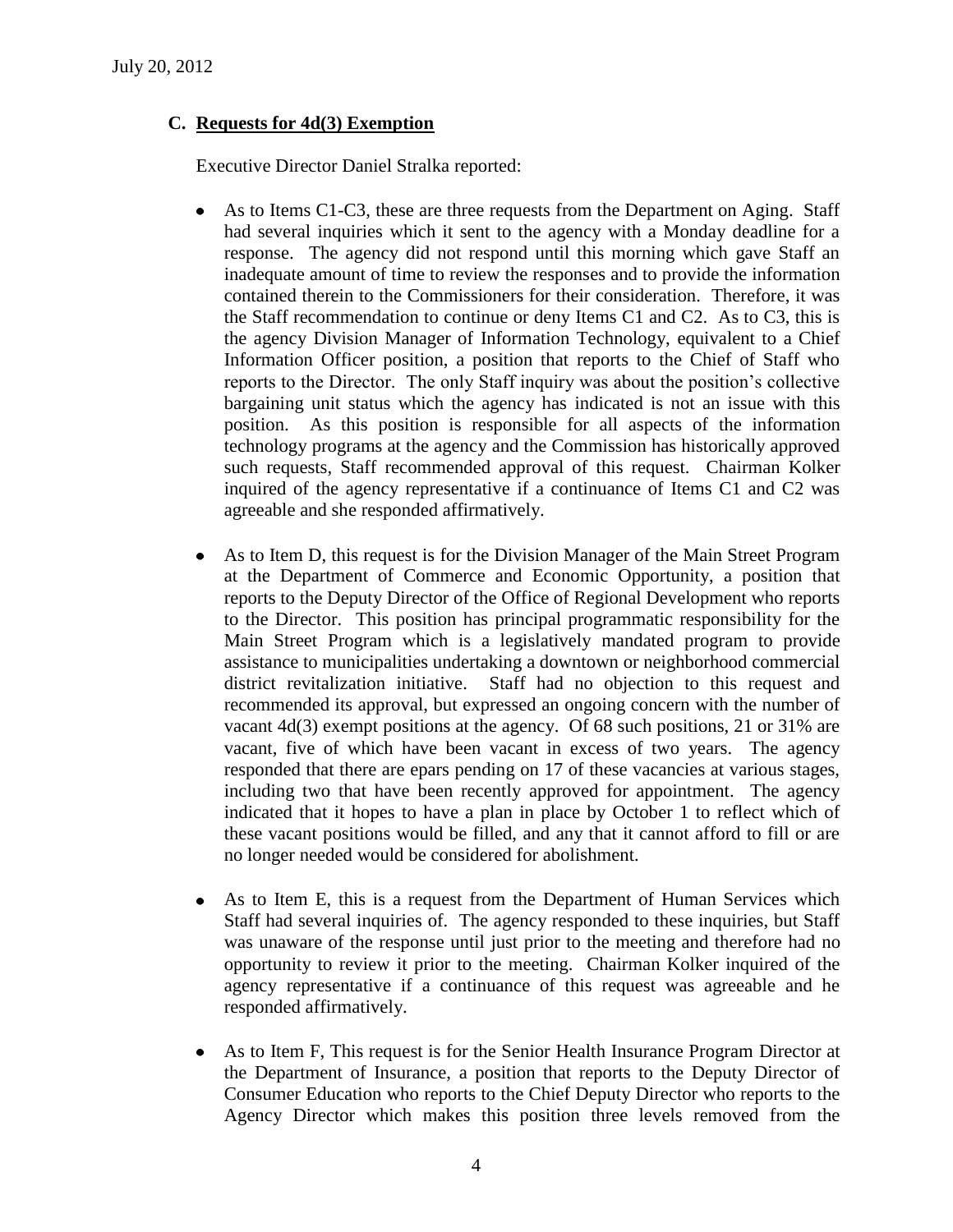# **C. Requests for 4d(3) Exemption**

Executive Director Daniel Stralka reported:

- $\bullet$ As to Items C1-C3, these are three requests from the Department on Aging. Staff had several inquiries which it sent to the agency with a Monday deadline for a response. The agency did not respond until this morning which gave Staff an inadequate amount of time to review the responses and to provide the information contained therein to the Commissioners for their consideration. Therefore, it was the Staff recommendation to continue or deny Items C1 and C2. As to C3, this is the agency Division Manager of Information Technology, equivalent to a Chief Information Officer position, a position that reports to the Chief of Staff who reports to the Director. The only Staff inquiry was about the position's collective bargaining unit status which the agency has indicated is not an issue with this position. As this position is responsible for all aspects of the information technology programs at the agency and the Commission has historically approved such requests, Staff recommended approval of this request. Chairman Kolker inquired of the agency representative if a continuance of Items C1 and C2 was agreeable and she responded affirmatively.
- $\bullet$ As to Item D, this request is for the Division Manager of the Main Street Program at the Department of Commerce and Economic Opportunity, a position that reports to the Deputy Director of the Office of Regional Development who reports to the Director. This position has principal programmatic responsibility for the Main Street Program which is a legislatively mandated program to provide assistance to municipalities undertaking a downtown or neighborhood commercial district revitalization initiative. Staff had no objection to this request and recommended its approval, but expressed an ongoing concern with the number of vacant 4d(3) exempt positions at the agency. Of 68 such positions, 21 or 31% are vacant, five of which have been vacant in excess of two years. The agency responded that there are epars pending on 17 of these vacancies at various stages, including two that have been recently approved for appointment. The agency indicated that it hopes to have a plan in place by October 1 to reflect which of these vacant positions would be filled, and any that it cannot afford to fill or are no longer needed would be considered for abolishment.
- As to Item E, this is a request from the Department of Human Services which  $\bullet$ Staff had several inquiries of. The agency responded to these inquiries, but Staff was unaware of the response until just prior to the meeting and therefore had no opportunity to review it prior to the meeting. Chairman Kolker inquired of the agency representative if a continuance of this request was agreeable and he responded affirmatively.
- As to Item F, This request is for the Senior Health Insurance Program Director at  $\bullet$ the Department of Insurance, a position that reports to the Deputy Director of Consumer Education who reports to the Chief Deputy Director who reports to the Agency Director which makes this position three levels removed from the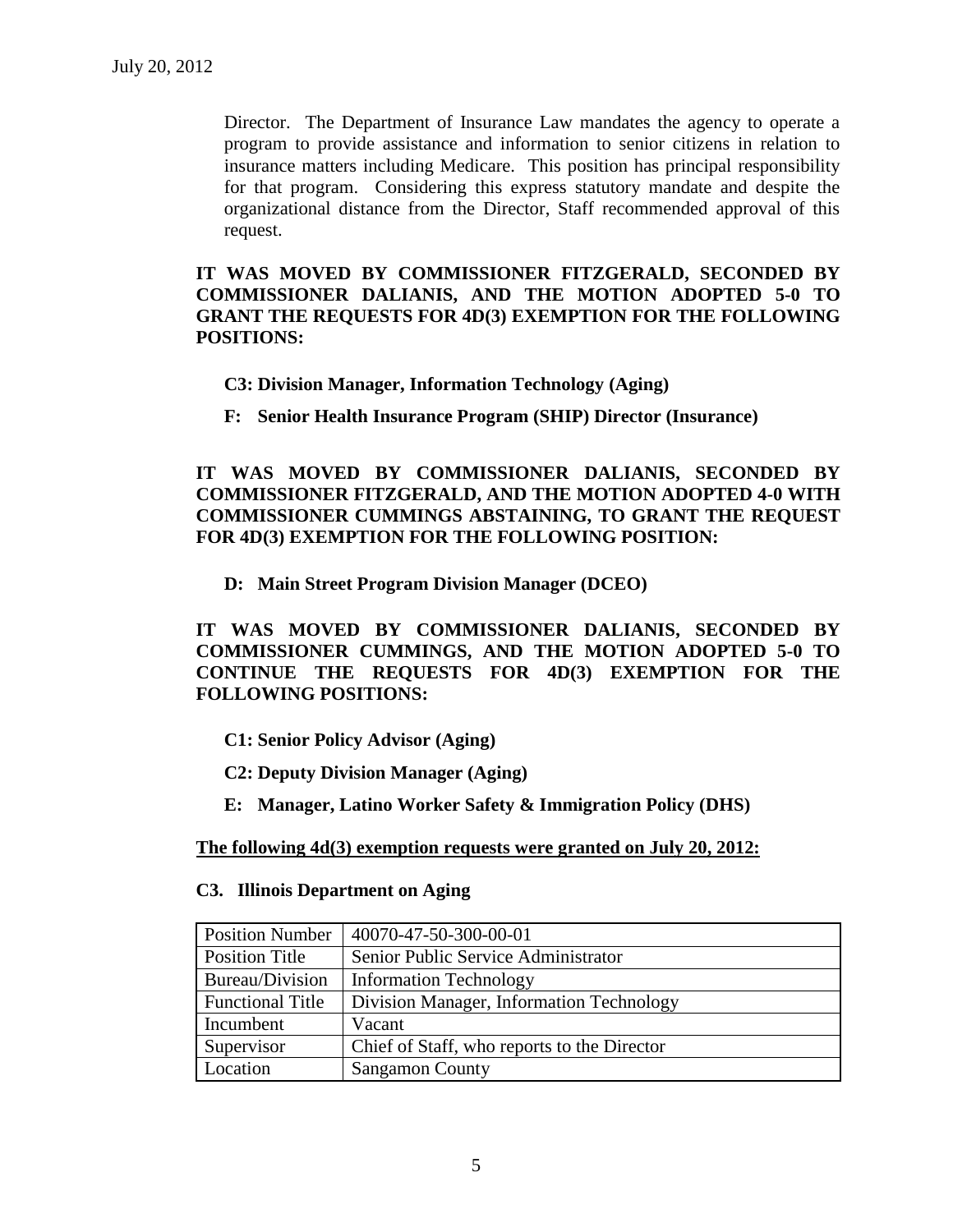Director. The Department of Insurance Law mandates the agency to operate a program to provide assistance and information to senior citizens in relation to insurance matters including Medicare. This position has principal responsibility for that program. Considering this express statutory mandate and despite the organizational distance from the Director, Staff recommended approval of this request.

**IT WAS MOVED BY COMMISSIONER FITZGERALD, SECONDED BY COMMISSIONER DALIANIS, AND THE MOTION ADOPTED 5-0 TO GRANT THE REQUESTS FOR 4D(3) EXEMPTION FOR THE FOLLOWING POSITIONS:**

**C3: Division Manager, Information Technology (Aging)**

**F: Senior Health Insurance Program (SHIP) Director (Insurance)**

**IT WAS MOVED BY COMMISSIONER DALIANIS, SECONDED BY COMMISSIONER FITZGERALD, AND THE MOTION ADOPTED 4-0 WITH COMMISSIONER CUMMINGS ABSTAINING, TO GRANT THE REQUEST FOR 4D(3) EXEMPTION FOR THE FOLLOWING POSITION:**

**D: Main Street Program Division Manager (DCEO)**

**IT WAS MOVED BY COMMISSIONER DALIANIS, SECONDED BY COMMISSIONER CUMMINGS, AND THE MOTION ADOPTED 5-0 TO CONTINUE THE REQUESTS FOR 4D(3) EXEMPTION FOR THE FOLLOWING POSITIONS:**

- **C1: Senior Policy Advisor (Aging)**
- **C2: Deputy Division Manager (Aging)**
- **E: Manager, Latino Worker Safety & Immigration Policy (DHS)**

**The following 4d(3) exemption requests were granted on July 20, 2012:**

#### **C3. Illinois Department on Aging**

| <b>Position Number</b>  | 40070-47-50-300-00-01                       |
|-------------------------|---------------------------------------------|
| <b>Position Title</b>   | Senior Public Service Administrator         |
| Bureau/Division         | <b>Information Technology</b>               |
| <b>Functional Title</b> | Division Manager, Information Technology    |
| Incumbent               | Vacant                                      |
| Supervisor              | Chief of Staff, who reports to the Director |
| Location                | <b>Sangamon County</b>                      |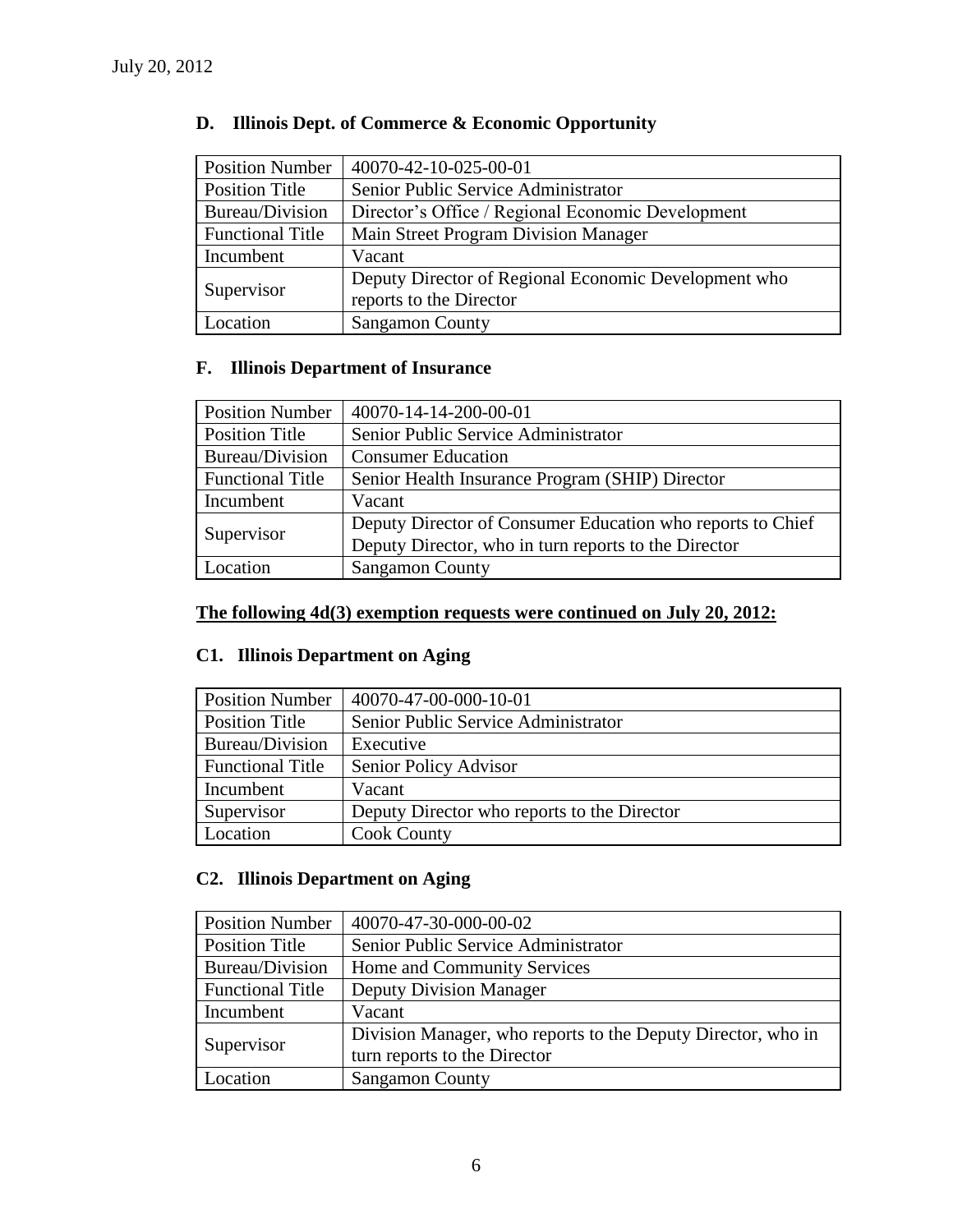| <b>Position Number</b>  | 40070-42-10-025-00-01                                |
|-------------------------|------------------------------------------------------|
| Position Title          | Senior Public Service Administrator                  |
| Bureau/Division         | Director's Office / Regional Economic Development    |
| <b>Functional Title</b> | Main Street Program Division Manager                 |
| Incumbent               | Vacant                                               |
| Supervisor              | Deputy Director of Regional Economic Development who |
|                         | reports to the Director                              |
| Location                | <b>Sangamon County</b>                               |

# **D. Illinois Dept. of Commerce & Economic Opportunity**

# **F. Illinois Department of Insurance**

| <b>Position Number</b>  | 40070-14-14-200-00-01                                      |
|-------------------------|------------------------------------------------------------|
| <b>Position Title</b>   | Senior Public Service Administrator                        |
| Bureau/Division         | <b>Consumer Education</b>                                  |
| <b>Functional Title</b> | Senior Health Insurance Program (SHIP) Director            |
| Incumbent               | Vacant                                                     |
| Supervisor              | Deputy Director of Consumer Education who reports to Chief |
|                         | Deputy Director, who in turn reports to the Director       |
| Location                | <b>Sangamon County</b>                                     |

# **The following 4d(3) exemption requests were continued on July 20, 2012:**

# **C1. Illinois Department on Aging**

| <b>Position Number</b>  | 40070-47-00-000-10-01                       |
|-------------------------|---------------------------------------------|
| <b>Position Title</b>   | Senior Public Service Administrator         |
| Bureau/Division         | Executive                                   |
| <b>Functional Title</b> | Senior Policy Advisor                       |
| Incumbent               | Vacant                                      |
| Supervisor              | Deputy Director who reports to the Director |
| Location                | <b>Cook County</b>                          |

# **C2. Illinois Department on Aging**

| <b>Position Number</b>  | 40070-47-30-000-00-02                                                                        |  |
|-------------------------|----------------------------------------------------------------------------------------------|--|
| <b>Position Title</b>   | Senior Public Service Administrator                                                          |  |
| Bureau/Division         | Home and Community Services                                                                  |  |
| <b>Functional Title</b> | <b>Deputy Division Manager</b>                                                               |  |
| Incumbent               | Vacant                                                                                       |  |
| Supervisor              | Division Manager, who reports to the Deputy Director, who in<br>turn reports to the Director |  |
| Location                | <b>Sangamon County</b>                                                                       |  |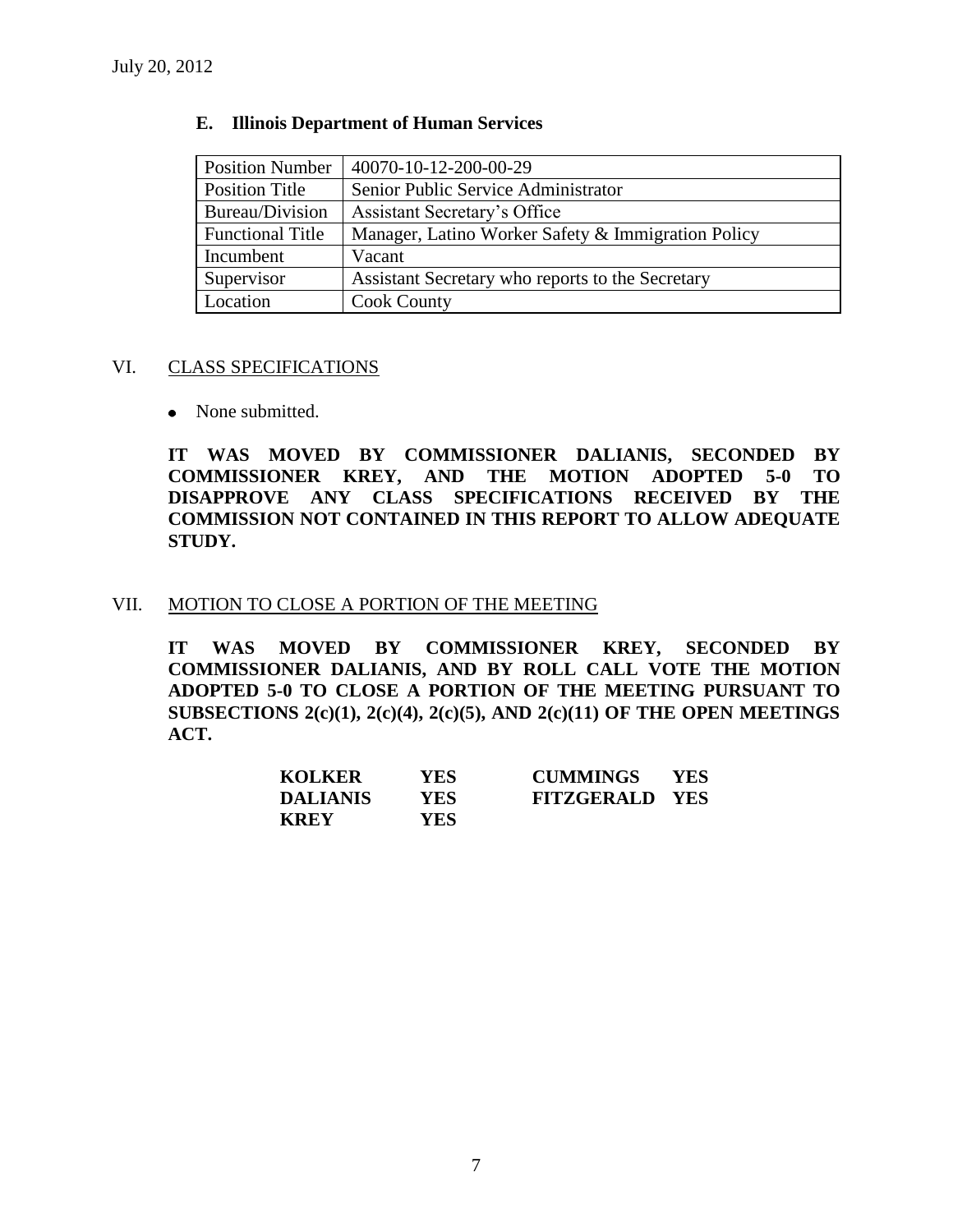| <b>Position Number</b>  | 40070-10-12-200-00-29                              |
|-------------------------|----------------------------------------------------|
| <b>Position Title</b>   | Senior Public Service Administrator                |
| Bureau/Division         | Assistant Secretary's Office                       |
| <b>Functional Title</b> | Manager, Latino Worker Safety & Immigration Policy |
| Incumbent               | Vacant                                             |
| Supervisor              | Assistant Secretary who reports to the Secretary   |
| Location                | <b>Cook County</b>                                 |

#### **E. Illinois Department of Human Services**

#### VI. CLASS SPECIFICATIONS

• None submitted.

**IT WAS MOVED BY COMMISSIONER DALIANIS, SECONDED BY COMMISSIONER KREY, AND THE MOTION ADOPTED 5-0 TO DISAPPROVE ANY CLASS SPECIFICATIONS RECEIVED BY THE COMMISSION NOT CONTAINED IN THIS REPORT TO ALLOW ADEQUATE STUDY.** 

#### VII. MOTION TO CLOSE A PORTION OF THE MEETING

**IT WAS MOVED BY COMMISSIONER KREY, SECONDED BY COMMISSIONER DALIANIS, AND BY ROLL CALL VOTE THE MOTION ADOPTED 5-0 TO CLOSE A PORTION OF THE MEETING PURSUANT TO SUBSECTIONS 2(c)(1), 2(c)(4), 2(c)(5), AND 2(c)(11) OF THE OPEN MEETINGS ACT.**

| <b>KOLKER</b>   | YES. | <b>CUMMINGS</b>       | YES. |
|-----------------|------|-----------------------|------|
| <b>DALIANIS</b> | YES. | <b>FITZGERALD YES</b> |      |
| <b>KREY</b>     | YES- |                       |      |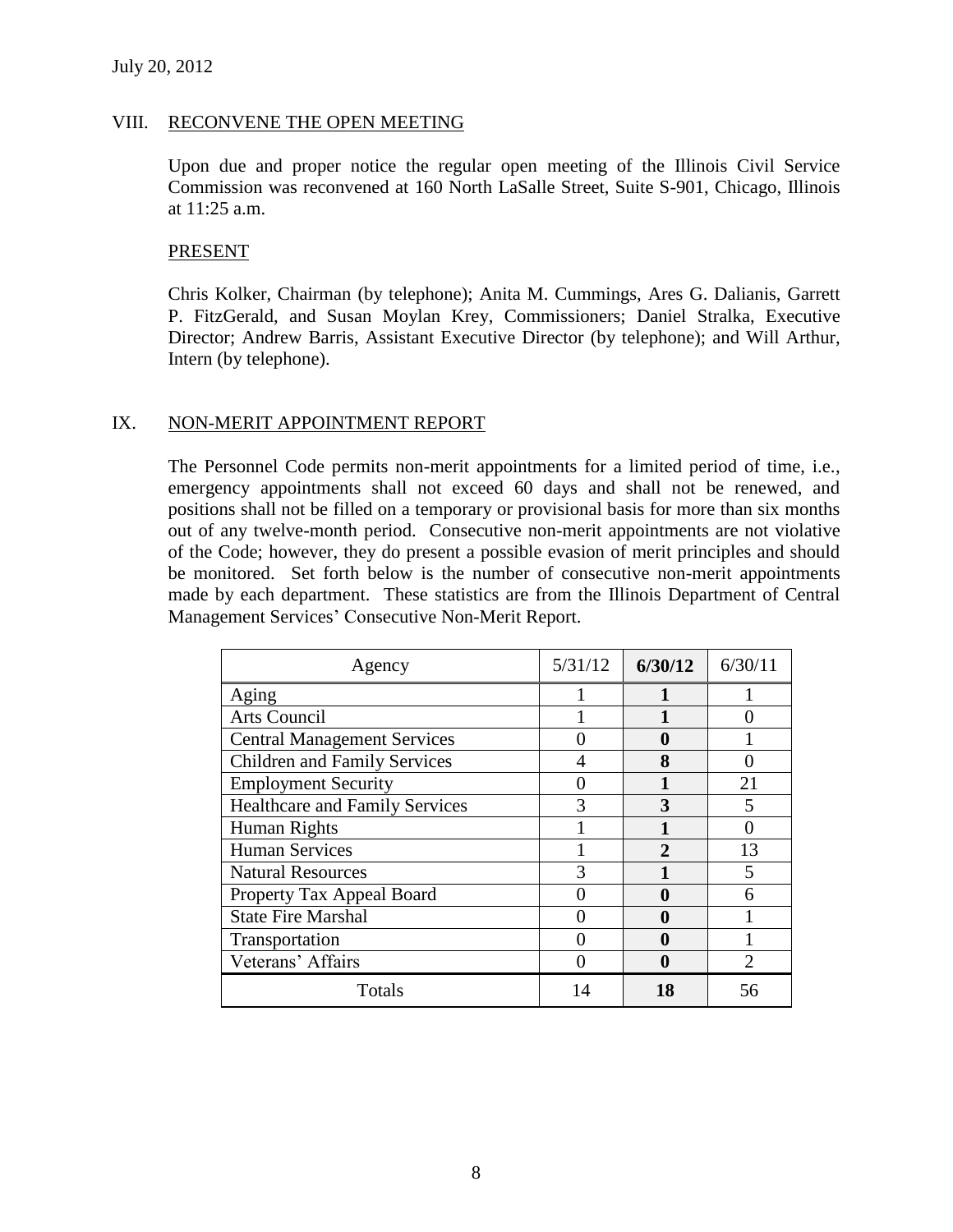#### VIII. RECONVENE THE OPEN MEETING

Upon due and proper notice the regular open meeting of the Illinois Civil Service Commission was reconvened at 160 North LaSalle Street, Suite S-901, Chicago, Illinois at 11:25 a.m.

#### PRESENT

Chris Kolker, Chairman (by telephone); Anita M. Cummings, Ares G. Dalianis, Garrett P. FitzGerald, and Susan Moylan Krey, Commissioners; Daniel Stralka, Executive Director; Andrew Barris, Assistant Executive Director (by telephone); and Will Arthur, Intern (by telephone).

#### IX. NON-MERIT APPOINTMENT REPORT

The Personnel Code permits non-merit appointments for a limited period of time, i.e., emergency appointments shall not exceed 60 days and shall not be renewed, and positions shall not be filled on a temporary or provisional basis for more than six months out of any twelve-month period. Consecutive non-merit appointments are not violative of the Code; however, they do present a possible evasion of merit principles and should be monitored. Set forth below is the number of consecutive non-merit appointments made by each department. These statistics are from the Illinois Department of Central Management Services' Consecutive Non-Merit Report.

| Agency                                | 5/31/12 | 6/30/12      | 6/30/11 |
|---------------------------------------|---------|--------------|---------|
| Aging                                 |         |              |         |
| <b>Arts Council</b>                   |         |              |         |
| <b>Central Management Services</b>    |         | 0            |         |
| <b>Children and Family Services</b>   |         | 8            |         |
| <b>Employment Security</b>            |         |              | 21      |
| <b>Healthcare and Family Services</b> |         | 3            |         |
| Human Rights                          |         |              |         |
| <b>Human Services</b>                 |         | $\mathbf{2}$ | 13      |
| <b>Natural Resources</b>              |         |              |         |
| Property Tax Appeal Board             |         | 0            |         |
| <b>State Fire Marshal</b>             |         | 0            |         |
| Transportation                        |         | 0            |         |
| Veterans' Affairs                     |         | 0            |         |
| Totals                                |         | 18           | 56      |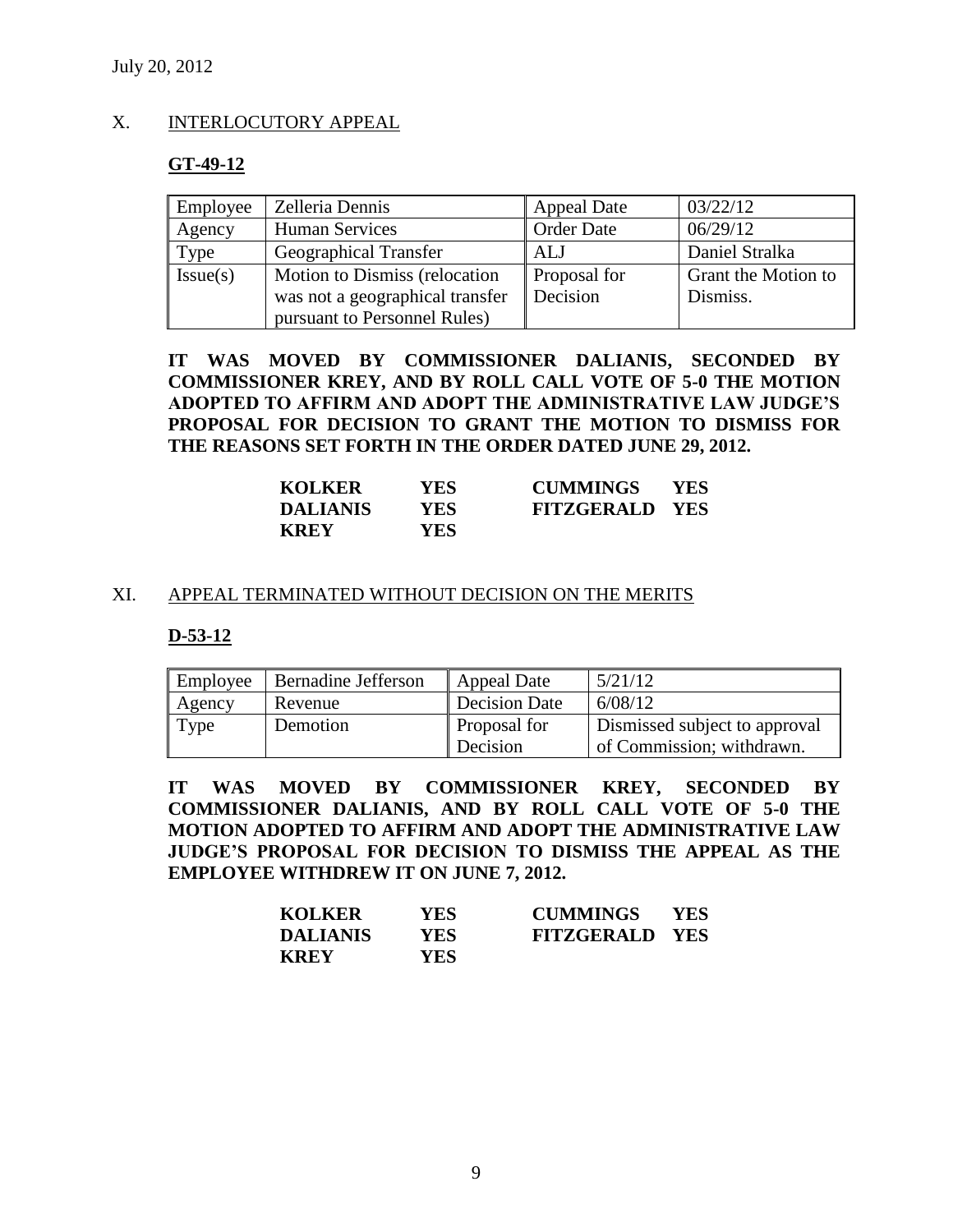#### X. INTERLOCUTORY APPEAL

#### **GT-49-12**

| Employee | Zelleria Dennis                 | <b>Appeal Date</b>  | 03/22/12            |
|----------|---------------------------------|---------------------|---------------------|
| Agency   | <b>Human Services</b>           | <b>Order Date</b>   | 06/29/12            |
| Type     | <b>Geographical Transfer</b>    | ALJ                 | Daniel Stralka      |
| Issue(s) | Motion to Dismiss (relocation   | <b>Proposal for</b> | Grant the Motion to |
|          | was not a geographical transfer | Decision            | Dismiss.            |
|          | pursuant to Personnel Rules)    |                     |                     |

**IT WAS MOVED BY COMMISSIONER DALIANIS, SECONDED BY COMMISSIONER KREY, AND BY ROLL CALL VOTE OF 5-0 THE MOTION ADOPTED TO AFFIRM AND ADOPT THE ADMINISTRATIVE LAW JUDGE'S PROPOSAL FOR DECISION TO GRANT THE MOTION TO DISMISS FOR THE REASONS SET FORTH IN THE ORDER DATED JUNE 29, 2012.**

| <b>KOLKER</b>   | YES  | <b>CUMMINGS</b>       | <b>YES</b> |
|-----------------|------|-----------------------|------------|
| <b>DALIANIS</b> | YES  | <b>FITZGERALD YES</b> |            |
| <b>KREY</b>     | YES- |                       |            |

#### XI. APPEAL TERMINATED WITHOUT DECISION ON THE MERITS

#### **D-53-12**

| Employee | Bernadine Jefferson | <b>Appeal Date</b>       | 5/21/12                                                    |
|----------|---------------------|--------------------------|------------------------------------------------------------|
| Agency   | Revenue             | <b>Decision Date</b>     | 6/08/12                                                    |
| Type     | Demotion            | Proposal for<br>Decision | Dismissed subject to approval<br>of Commission; withdrawn. |

**IT WAS MOVED BY COMMISSIONER KREY, SECONDED BY COMMISSIONER DALIANIS, AND BY ROLL CALL VOTE OF 5-0 THE MOTION ADOPTED TO AFFIRM AND ADOPT THE ADMINISTRATIVE LAW JUDGE'S PROPOSAL FOR DECISION TO DISMISS THE APPEAL AS THE EMPLOYEE WITHDREW IT ON JUNE 7, 2012.**

| <b>KOLKER</b>   | YES. | <b>CUMMINGS</b>       | YES. |
|-----------------|------|-----------------------|------|
| <b>DALIANIS</b> | YES. | <b>FITZGERALD YES</b> |      |
| <b>KREY</b>     | YES. |                       |      |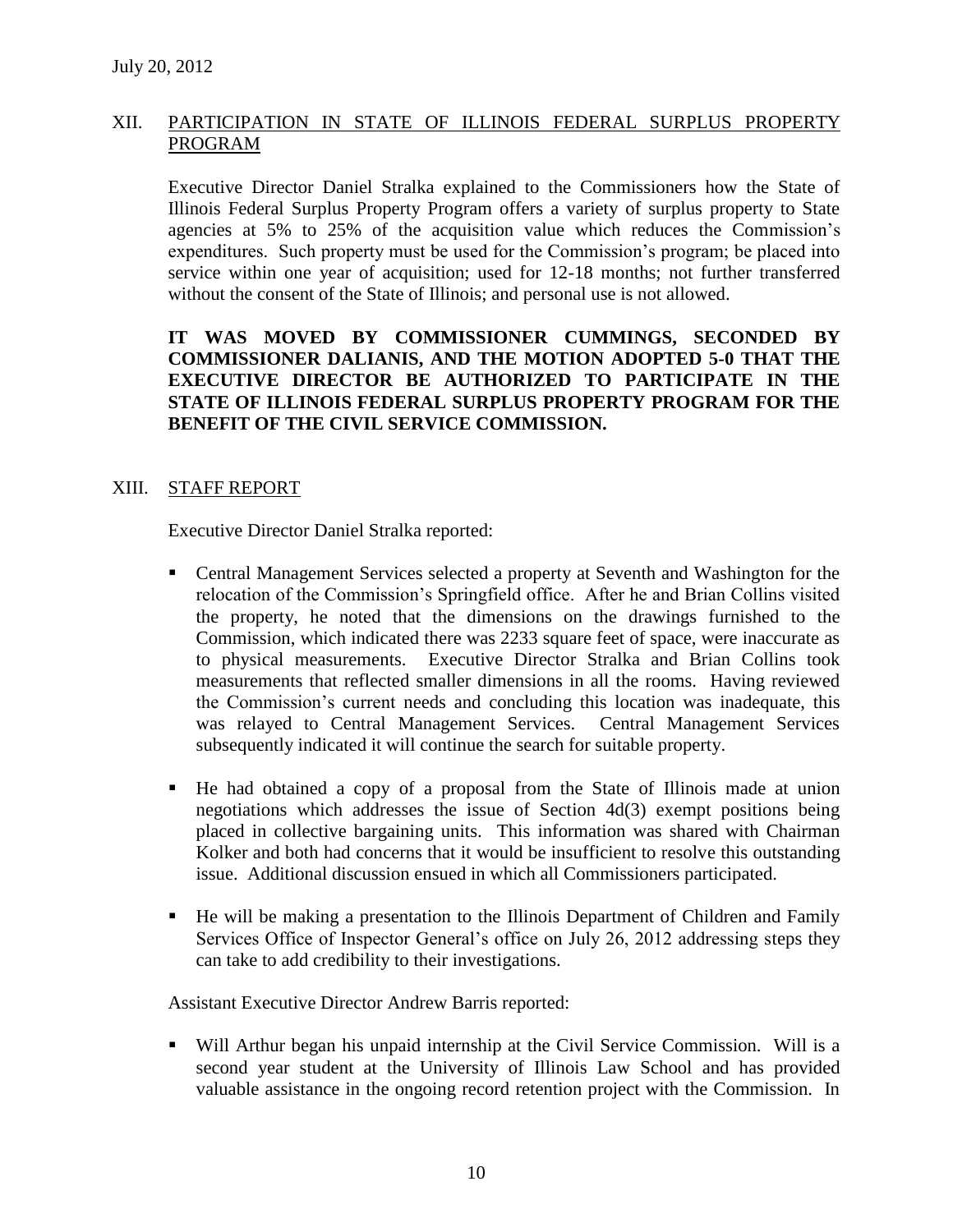# XII. PARTICIPATION IN STATE OF ILLINOIS FEDERAL SURPLUS PROPERTY PROGRAM

Executive Director Daniel Stralka explained to the Commissioners how the State of Illinois Federal Surplus Property Program offers a variety of surplus property to State agencies at 5% to 25% of the acquisition value which reduces the Commission's expenditures. Such property must be used for the Commission's program; be placed into service within one year of acquisition; used for 12-18 months; not further transferred without the consent of the State of Illinois; and personal use is not allowed.

# **IT WAS MOVED BY COMMISSIONER CUMMINGS, SECONDED BY COMMISSIONER DALIANIS, AND THE MOTION ADOPTED 5-0 THAT THE EXECUTIVE DIRECTOR BE AUTHORIZED TO PARTICIPATE IN THE STATE OF ILLINOIS FEDERAL SURPLUS PROPERTY PROGRAM FOR THE BENEFIT OF THE CIVIL SERVICE COMMISSION.**

## XIII. STAFF REPORT

Executive Director Daniel Stralka reported:

- Central Management Services selected a property at Seventh and Washington for the relocation of the Commission's Springfield office. After he and Brian Collins visited the property, he noted that the dimensions on the drawings furnished to the Commission, which indicated there was 2233 square feet of space, were inaccurate as to physical measurements. Executive Director Stralka and Brian Collins took measurements that reflected smaller dimensions in all the rooms. Having reviewed the Commission's current needs and concluding this location was inadequate, this was relayed to Central Management Services. Central Management Services subsequently indicated it will continue the search for suitable property.
- He had obtained a copy of a proposal from the State of Illinois made at union negotiations which addresses the issue of Section 4d(3) exempt positions being placed in collective bargaining units. This information was shared with Chairman Kolker and both had concerns that it would be insufficient to resolve this outstanding issue. Additional discussion ensued in which all Commissioners participated.
- He will be making a presentation to the Illinois Department of Children and Family Services Office of Inspector General's office on July 26, 2012 addressing steps they can take to add credibility to their investigations.

Assistant Executive Director Andrew Barris reported:

 Will Arthur began his unpaid internship at the Civil Service Commission. Will is a second year student at the University of Illinois Law School and has provided valuable assistance in the ongoing record retention project with the Commission. In